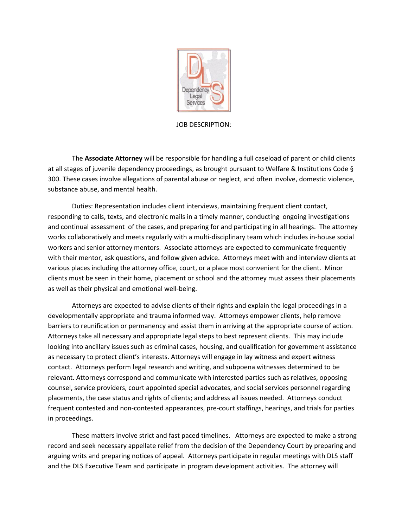

## JOB DESCRIPTION:

The **Associate Attorney** will be responsible for handling a full caseload of parent or child clients at all stages of juvenile dependency proceedings, as brought pursuant to Welfare & Institutions Code § 300. These cases involve allegations of parental abuse or neglect, and often involve, domestic violence, substance abuse, and mental health.

Duties: Representation includes client interviews, maintaining frequent client contact, responding to calls, texts, and electronic mails in a timely manner, conducting ongoing investigations and continual assessment of the cases, and preparing for and participating in all hearings. The attorney works collaboratively and meets regularly with a multi-disciplinary team which includes in-house social workers and senior attorney mentors. Associate attorneys are expected to communicate frequently with their mentor, ask questions, and follow given advice. Attorneys meet with and interview clients at various places including the attorney office, court, or a place most convenient for the client. Minor clients must be seen in their home, placement or school and the attorney must assess their placements as well as their physical and emotional well-being.

Attorneys are expected to advise clients of their rights and explain the legal proceedings in a developmentally appropriate and trauma informed way. Attorneys empower clients, help remove barriers to reunification or permanency and assist them in arriving at the appropriate course of action. Attorneys take all necessary and appropriate legal steps to best represent clients. This may include looking into ancillary issues such as criminal cases, housing, and qualification for government assistance as necessary to protect client's interests. Attorneys will engage in lay witness and expert witness contact. Attorneys perform legal research and writing, and subpoena witnesses determined to be relevant. Attorneys correspond and communicate with interested parties such as relatives, opposing counsel, service providers, court appointed special advocates, and social services personnel regarding placements, the case status and rights of clients; and address all issues needed. Attorneys conduct frequent contested and non-contested appearances, pre-court staffings, hearings, and trials for parties in proceedings.

These matters involve strict and fast paced timelines. Attorneys are expected to make a strong record and seek necessary appellate relief from the decision of the Dependency Court by preparing and arguing writs and preparing notices of appeal. Attorneys participate in regular meetings with DLS staff and the DLS Executive Team and participate in program development activities. The attorney will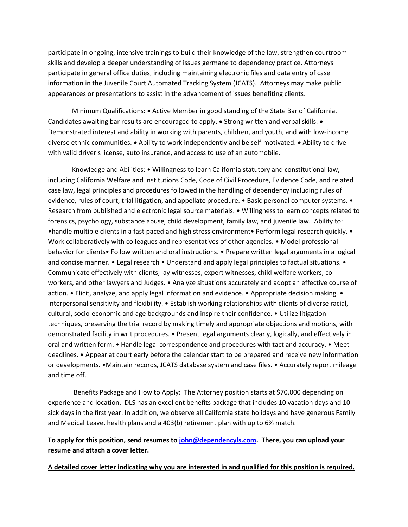participate in ongoing, intensive trainings to build their knowledge of the law, strengthen courtroom skills and develop a deeper understanding of issues germane to dependency practice. Attorneys participate in general office duties, including maintaining electronic files and data entry of case information in the Juvenile Court Automated Tracking System (JCATS). Attorneys may make public appearances or presentations to assist in the advancement of issues benefiting clients.

Minimum Qualifications: • Active Member in good standing of the State Bar of California. Candidates awaiting bar results are encouraged to apply. • Strong written and verbal skills. • Demonstrated interest and ability in working with parents, children, and youth, and with low-income diverse ethnic communities. • Ability to work independently and be self-motivated. • Ability to drive with valid driver's license, auto insurance, and access to use of an automobile.

Knowledge and Abilities: • Willingness to learn California statutory and constitutional law, including California Welfare and Institutions Code, Code of Civil Procedure, Evidence Code, and related case law, legal principles and procedures followed in the handling of dependency including rules of evidence, rules of court, trial litigation, and appellate procedure. • Basic personal computer systems. • Research from published and electronic legal source materials. • Willingness to learn concepts related to forensics, psychology, substance abuse, child development, family law, and juvenile law. Ability to: •handle multiple clients in a fast paced and high stress environment• Perform legal research quickly. • Work collaboratively with colleagues and representatives of other agencies. • Model professional behavior for clients• Follow written and oral instructions. • Prepare written legal arguments in a logical and concise manner. • Legal research • Understand and apply legal principles to factual situations. • Communicate effectively with clients, lay witnesses, expert witnesses, child welfare workers, coworkers, and other lawyers and Judges. • Analyze situations accurately and adopt an effective course of action. • Elicit, analyze, and apply legal information and evidence. • Appropriate decision making. • Interpersonal sensitivity and flexibility. • Establish working relationships with clients of diverse racial, cultural, socio-economic and age backgrounds and inspire their confidence. • Utilize litigation techniques, preserving the trial record by making timely and appropriate objections and motions, with demonstrated facility in writ procedures. • Present legal arguments clearly, logically, and effectively in oral and written form. • Handle legal correspondence and procedures with tact and accuracy. • Meet deadlines. • Appear at court early before the calendar start to be prepared and receive new information or developments. •Maintain records, JCATS database system and case files. • Accurately report mileage and time off.

Benefits Package and How to Apply: The Attorney position starts at \$70,000 depending on experience and location. DLS has an excellent benefits package that includes 10 vacation days and 10 sick days in the first year. In addition, we observe all California state holidays and have generous Family and Medical Leave, health plans and a 403(b) retirement plan with up to 6% match.

**To apply for this position, send resumes t[o john@dependencyls.com.](mailto:john@dependencyls.com) There, you can upload your resume and attach a cover letter.**

**A detailed cover letter indicating why you are interested in and qualified for this position is required.**